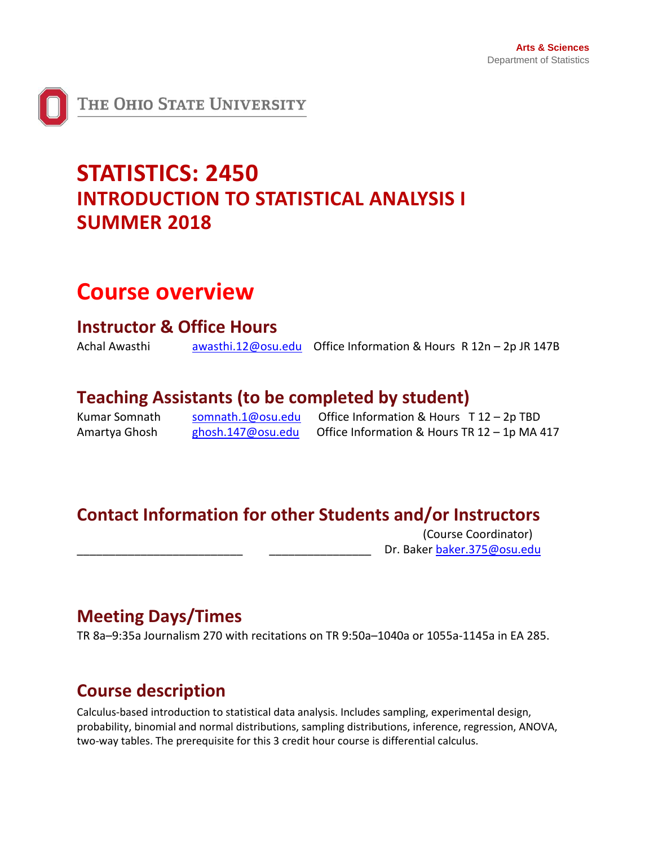

THE OHIO STATE UNIVERSITY

# **STATISTICS: 2450 INTRODUCTION TO STATISTICAL ANALYSIS I SUMMER 2018**

# **Course overview**

#### **Instructor & Office Hours**

Achal Awasthi **awasthi.12@osu.edu** Office Information & Hours R 12n – 2p JR 147B

# **Teaching Assistants (to be completed by student)**

Kumar Somnath [somnath.1@osu.edu](mailto:somnath.1@osu.edu) Office Information & Hours T 12 - 2p TBD Amartya Ghosh [ghosh.147@osu.edu](mailto:ghosh.147@osu.edu) Office Information & Hours TR 12 – 1p MA 417

# **Contact Information for other Students and/or Instructors**

(Course Coordinator) Dr. Baker [baker.375@osu.edu](mailto:baker.375@osu.edu)

# **Meeting Days/Times**

TR 8a–9:35a Journalism 270 with recitations on TR 9:50a–1040a or 1055a-1145a in EA 285.

# **Course description**

Calculus-based introduction to statistical data analysis. Includes sampling, experimental design, probability, binomial and normal distributions, sampling distributions, inference, regression, ANOVA, two-way tables. The prerequisite for this 3 credit hour course is differential calculus.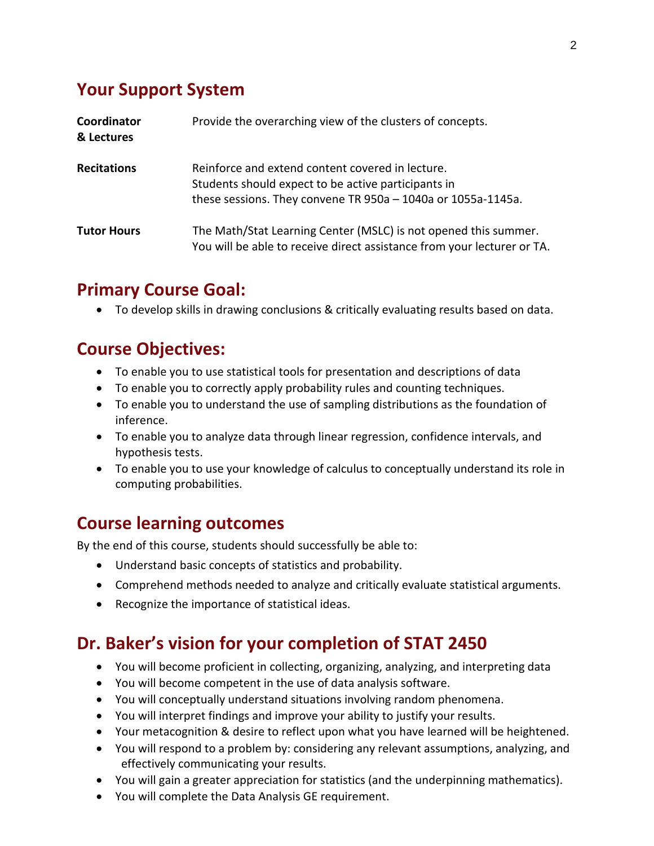## **Your Support System**

| Coordinator<br>& Lectures | Provide the overarching view of the clusters of concepts.                                                                                                               |
|---------------------------|-------------------------------------------------------------------------------------------------------------------------------------------------------------------------|
| <b>Recitations</b>        | Reinforce and extend content covered in lecture.<br>Students should expect to be active participants in<br>these sessions. They convene TR 950a - 1040a or 1055a-1145a. |
| <b>Tutor Hours</b>        | The Math/Stat Learning Center (MSLC) is not opened this summer.<br>You will be able to receive direct assistance from your lecturer or TA.                              |

# **Primary Course Goal:**

To develop skills in drawing conclusions & critically evaluating results based on data.

### **Course Objectives:**

- To enable you to use statistical tools for presentation and descriptions of data
- To enable you to correctly apply probability rules and counting techniques.
- To enable you to understand the use of sampling distributions as the foundation of inference.
- To enable you to analyze data through linear regression, confidence intervals, and hypothesis tests.
- To enable you to use your knowledge of calculus to conceptually understand its role in computing probabilities.

# **Course learning outcomes**

By the end of this course, students should successfully be able to:

- Understand basic concepts of statistics and probability.
- Comprehend methods needed to analyze and critically evaluate statistical arguments.
- Recognize the importance of statistical ideas.

# **Dr. Baker's vision for your completion of STAT 2450**

- You will become proficient in collecting, organizing, analyzing, and interpreting data
- You will become competent in the use of data analysis software.
- You will conceptually understand situations involving random phenomena.
- You will interpret findings and improve your ability to justify your results.
- Your metacognition & desire to reflect upon what you have learned will be heightened.
- You will respond to a problem by: considering any relevant assumptions, analyzing, and effectively communicating your results.
- You will gain a greater appreciation for statistics (and the underpinning mathematics).
- You will complete the Data Analysis GE requirement.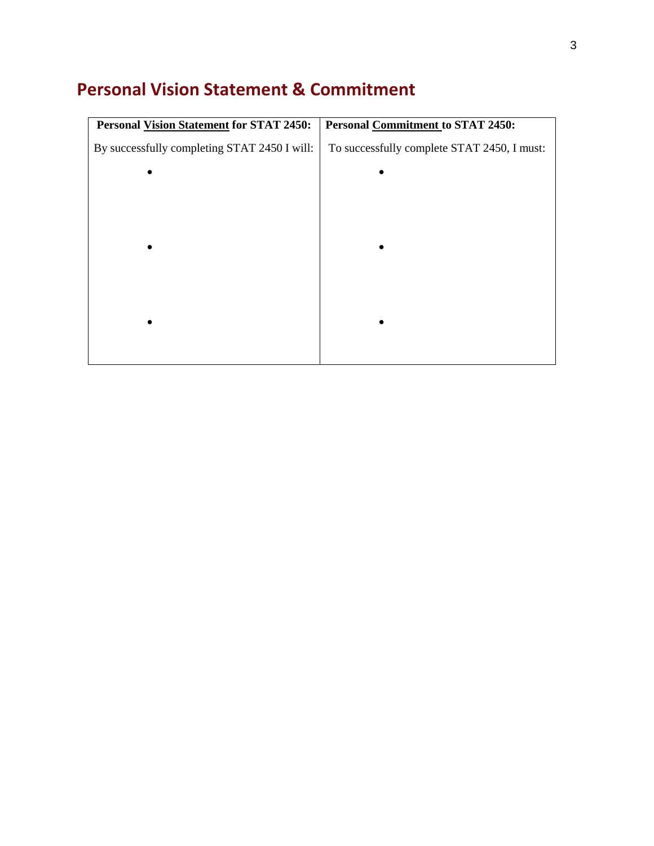# **Personal Vision Statement & Commitment**

| <b>Personal Vision Statement for STAT 2450:</b> | <b>Personal Commitment to STAT 2450:</b>    |
|-------------------------------------------------|---------------------------------------------|
| By successfully completing STAT 2450 I will:    | To successfully complete STAT 2450, I must: |
|                                                 |                                             |
|                                                 |                                             |
|                                                 |                                             |
|                                                 |                                             |
|                                                 |                                             |
|                                                 |                                             |
|                                                 |                                             |
|                                                 |                                             |
|                                                 |                                             |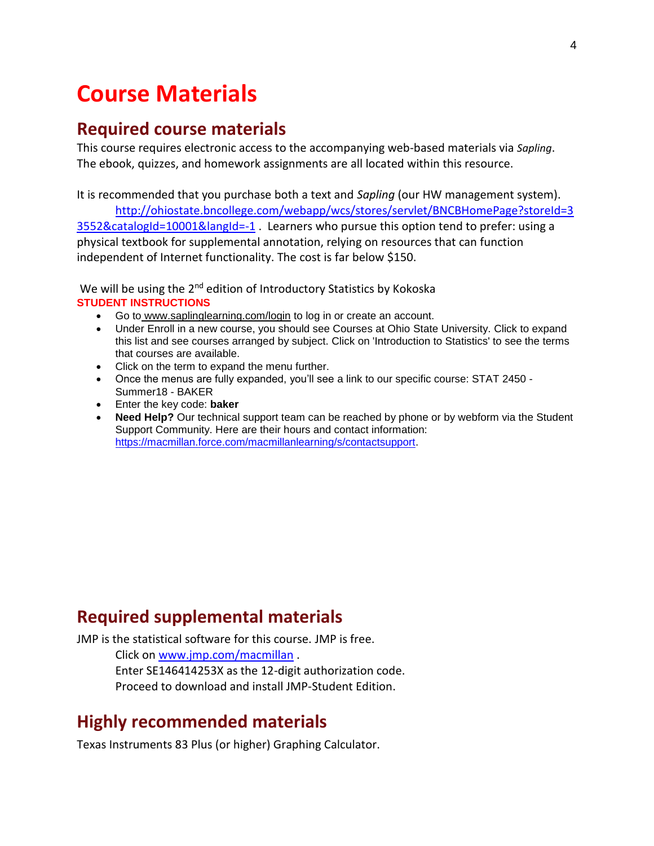# **Course Materials**

#### **Required course materials**

This course requires electronic access to the accompanying web-based materials via *Sapling*. The ebook, quizzes, and homework assignments are all located within this resource.

It is recommended that you purchase both a text and *Sapling* (our HW management system). [http://ohiostate.bncollege.com/webapp/wcs/stores/servlet/BNCBHomePage?storeId=3](http://ohiostate.bncollege.com/webapp/wcs/stores/servlet/BNCBHomePage?storeId=33552&catalogId=10001&langId=-1) [3552&catalogId=10001&langId=-1](http://ohiostate.bncollege.com/webapp/wcs/stores/servlet/BNCBHomePage?storeId=33552&catalogId=10001&langId=-1) . Learners who pursue this option tend to prefer: using a physical textbook for supplemental annotation, relying on resources that can function independent of Internet functionality. The cost is far below \$150.

We will be using the 2<sup>nd</sup> edition of Introductory Statistics by Kokoska **STUDENT INSTRUCTIONS** 

- Go to [www.saplinglearning.com/login](http://www.saplinglearning.com/login) to log in or create an account.
- Under Enroll in a new course, you should see Courses at Ohio State University. Click to expand this list and see courses arranged by subject. Click on 'Introduction to Statistics' to see the terms that courses are available.
- Click on the term to expand the menu further.
- Once the menus are fully expanded, you'll see a link to our specific course: STAT 2450 Summer18 - BAKER
- Enter the key code: **baker**
- **Need Help?** Our technical support team can be reached by phone or by webform via the Student Support Community. Here are their hours and contact information: [https://macmillan.force.com/macmillanlearning/s/contactsupport.](https://macmillan.force.com/macmillanlearning/s/contactsupport)

# **Required supplemental materials**

JMP is the statistical software for this course. JMP is free.

Click on [www.jmp.com/macmillan](http://www.jmp.com/macmillan) .

Enter SE146414253X as the 12-digit authorization code.

Proceed to download and install JMP-Student Edition.

### **Highly recommended materials**

Texas Instruments 83 Plus (or higher) Graphing Calculator.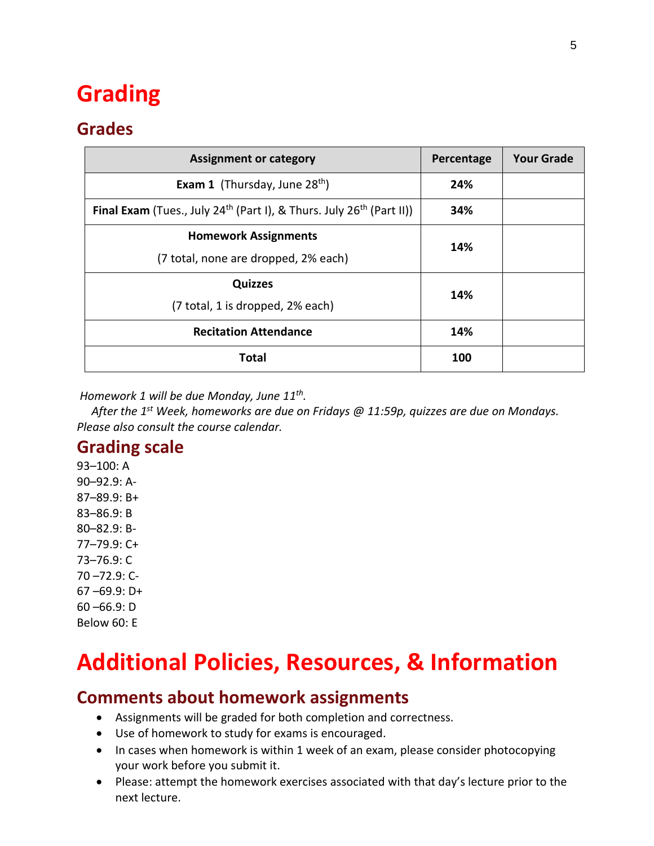# **Grading**

#### **Grades**

| <b>Assignment or category</b>                                                                       | Percentage | <b>Your Grade</b> |
|-----------------------------------------------------------------------------------------------------|------------|-------------------|
| <b>Exam 1</b> (Thursday, June $28^{th}$ )                                                           | 24%        |                   |
| <b>Final Exam</b> (Tues., July 24 <sup>th</sup> (Part I), & Thurs. July 26 <sup>th</sup> (Part II)) | 34%        |                   |
| <b>Homework Assignments</b>                                                                         | 14%        |                   |
| (7 total, none are dropped, 2% each)                                                                |            |                   |
| <b>Quizzes</b>                                                                                      |            |                   |
| (7 total, 1 is dropped, 2% each)                                                                    | 14%        |                   |
| <b>Recitation Attendance</b>                                                                        | 14%        |                   |
| <b>Total</b>                                                                                        | 100        |                   |

*Homework 1 will be due Monday, June 11th .* 

 *After the 1st Week, homeworks are due on Fridays @ 11:59p, quizzes are due on Mondays. Please also consult the course calendar.* 

#### **Grading scale**

93–100: A 90–92.9: A-87–89.9: B+ 83–86.9: B 80–82.9: B-77–79.9: C+ 73–76.9: C 70 –72.9: C- $67 - 69.9$ : D+ 60 –66.9: D Below 60: E

# **Additional Policies, Resources, & Information**

### **Comments about homework assignments**

- Assignments will be graded for both completion and correctness.
- Use of homework to study for exams is encouraged.
- In cases when homework is within 1 week of an exam, please consider photocopying your work before you submit it.
- Please: attempt the homework exercises associated with that day's lecture prior to the next lecture.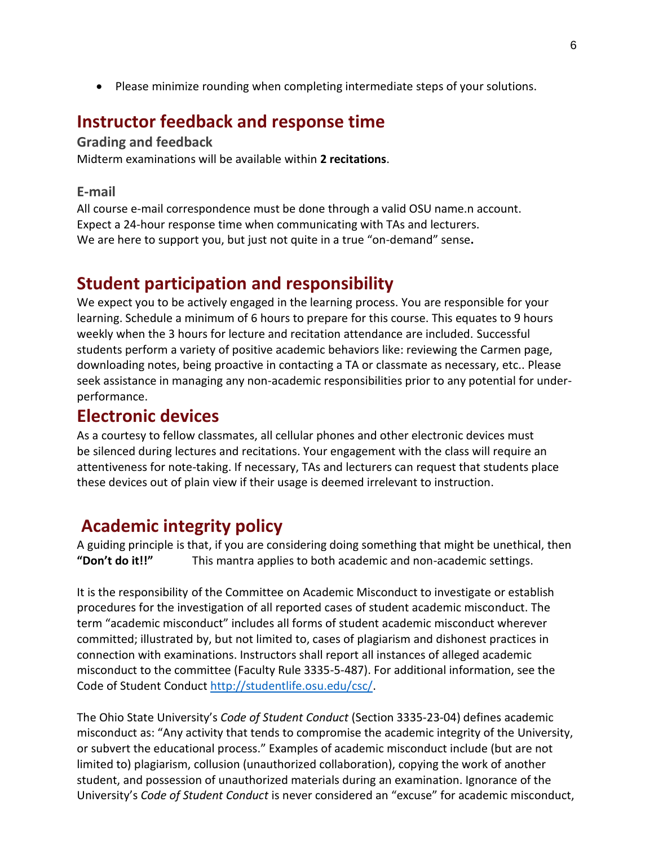Please minimize rounding when completing intermediate steps of your solutions.

### **Instructor feedback and response time**

#### **Grading and feedback**

Midterm examinations will be available within **2 recitations**.

#### **E-mail**

All course e-mail correspondence must be done through a valid OSU name.n account. Expect a 24-hour response time when communicating with TAs and lecturers. We are here to support you, but just not quite in a true "on-demand" sense**.**

# **Student participation and responsibility**

We expect you to be actively engaged in the learning process. You are responsible for your learning. Schedule a minimum of 6 hours to prepare for this course. This equates to 9 hours weekly when the 3 hours for lecture and recitation attendance are included. Successful students perform a variety of positive academic behaviors like: reviewing the Carmen page, downloading notes, being proactive in contacting a TA or classmate as necessary, etc.. Please seek assistance in managing any non-academic responsibilities prior to any potential for underperformance.

#### **Electronic devices**

As a courtesy to fellow classmates, all cellular phones and other electronic devices must be silenced during lectures and recitations. Your engagement with the class will require an attentiveness for note-taking. If necessary, TAs and lecturers can request that students place these devices out of plain view if their usage is deemed irrelevant to instruction.

# **Academic integrity policy**

A guiding principle is that, if you are considering doing something that might be unethical, then **"Don't do it!!"** This mantra applies to both academic and non-academic settings.

It is the responsibility of the Committee on Academic Misconduct to investigate or establish procedures for the investigation of all reported cases of student academic misconduct. The term "academic misconduct" includes all forms of student academic misconduct wherever committed; illustrated by, but not limited to, cases of plagiarism and dishonest practices in connection with examinations. Instructors shall report all instances of alleged academic misconduct to the committee (Faculty Rule 3335-5-487). For additional information, see the Code of Student Conduct [http://studentlife.osu.edu/csc/.](http://studentlife.osu.edu/csc/)

The Ohio State University's *Code of Student Conduct* (Section 3335-23-04) defines academic misconduct as: "Any activity that tends to compromise the academic integrity of the University, or subvert the educational process." Examples of academic misconduct include (but are not limited to) plagiarism, collusion (unauthorized collaboration), copying the work of another student, and possession of unauthorized materials during an examination. Ignorance of the University's *Code of Student Conduct* is never considered an "excuse" for academic misconduct,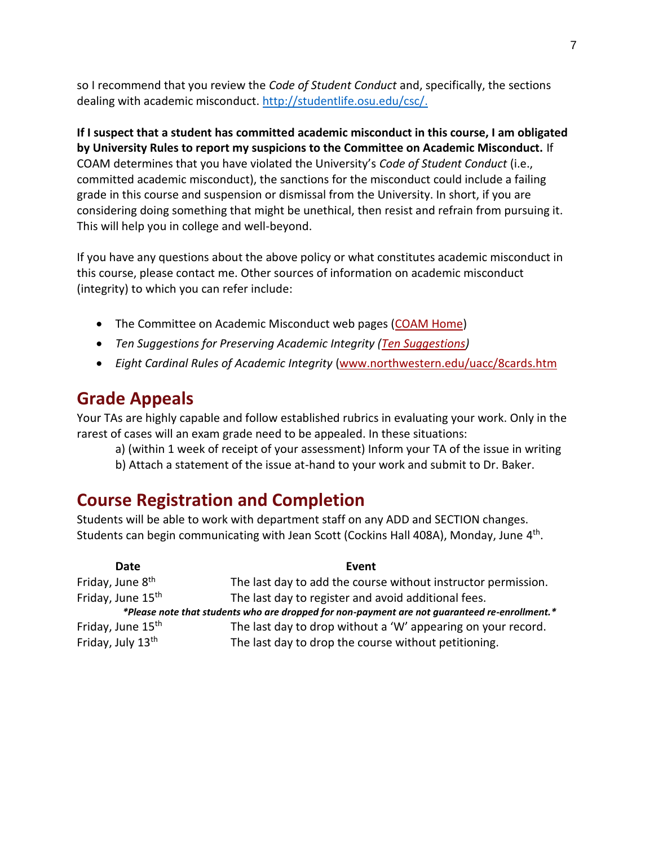so I recommend that you review the *Code of Student Conduct* and, specifically, the sections dealing with academic misconduct[. http://studentlife.osu.edu/csc/.](http://studentlife.osu.edu/csc/)

**If I suspect that a student has committed academic misconduct in this course, I am obligated by University Rules to report my suspicions to the Committee on Academic Misconduct.** If COAM determines that you have violated the University's *Code of Student Conduct* (i.e., committed academic misconduct), the sanctions for the misconduct could include a failing grade in this course and suspension or dismissal from the University. In short, if you are considering doing something that might be unethical, then resist and refrain from pursuing it. This will help you in college and well-beyond.

If you have any questions about the above policy or what constitutes academic misconduct in this course, please contact me. Other sources of information on academic misconduct (integrity) to which you can refer include:

- The Committee on Academic Misconduct web pages [\(COAM Home\)](http://oaa.osu.edu/coam.html)
- *Ten Suggestions for Preserving Academic Integrity [\(Ten Suggestions\)](http://oaa.osu.edu/coamtensuggestions.html)*
- *Eight Cardinal Rules of Academic Integrity* [\(www.northwestern.edu/uacc/8cards.htm](http://www.northwestern.edu/uacc/8cards.html)

#### **Grade Appeals**

Your TAs are highly capable and follow established rubrics in evaluating your work. Only in the rarest of cases will an exam grade need to be appealed. In these situations:

- a) (within 1 week of receipt of your assessment) Inform your TA of the issue in writing
- b) Attach a statement of the issue at-hand to your work and submit to Dr. Baker.

#### **Course Registration and Completion**

Students will be able to work with department staff on any ADD and SECTION changes. Students can begin communicating with Jean Scott (Cockins Hall 408A), Monday, June 4<sup>th</sup>.

| Date                          | Event                                                                                         |
|-------------------------------|-----------------------------------------------------------------------------------------------|
| Friday, June 8 <sup>th</sup>  | The last day to add the course without instructor permission.                                 |
| Friday, June 15 <sup>th</sup> | The last day to register and avoid additional fees.                                           |
|                               | *Please note that students who are dropped for non-payment are not guaranteed re-enrollment.* |
| Friday, June 15 <sup>th</sup> | The last day to drop without a 'W' appearing on your record.                                  |
| Friday, July 13th             | The last day to drop the course without petitioning.                                          |